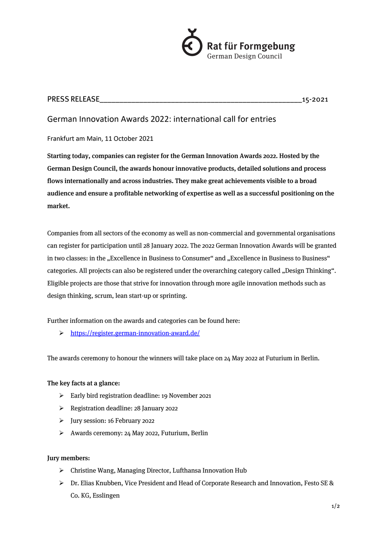

## PRESS RELEASE\_\_\_\_\_\_\_\_\_\_\_\_\_\_\_\_\_\_\_\_\_\_\_\_\_\_\_\_\_\_\_\_\_\_\_\_\_\_\_\_\_\_\_\_\_\_\_\_\_\_\_15-2021

# German Innovation Awards 2022: international call for entries

Frankfurt am Main, 11 October 2021

Starting today, companies can register for the German Innovation Awards 2022. Hosted by the German Design Council, the awards honour innovative products, detailed solutions and process flows internationally and across industries. They make great achievements visible to a broad audience and ensure a profitable networking of expertise as well as a successful positioning on the market.

Companies from all sectors of the economy as well as non-commercial and governmental organisations can register for participation until 28 January 2022. The 2022 German Innovation Awards will be granted in two classes: in the "Excellence in Business to Consumer" and "Excellence in Business to Business" categories. All projects can also be registered under the overarching category called "Design Thinking". Eligible projects are those that strive for innovation through more agile innovation methods such as design thinking, scrum, lean start-up or sprinting.

Further information on the awards and categories can be found here:

Ø https://register.german-innovation-award.de/

The awards ceremony to honour the winners will take place on 24 May 2022 at Futurium in Berlin.

## The key facts at a glance:

- Ø Early bird registration deadline: 19 November 2021
- Ø Registration deadline: 28 January 2022
- Ø Jury session: 16 February 2022
- Ø Awards ceremony: 24 May 2022, Futurium, Berlin

### Jury members:

- Ø Christine Wang, Managing Director, Lufthansa Innovation Hub
- $\triangleright$  Dr. Elias Knubben, Vice President and Head of Corporate Research and Innovation, Festo SE & Co. KG, Esslingen